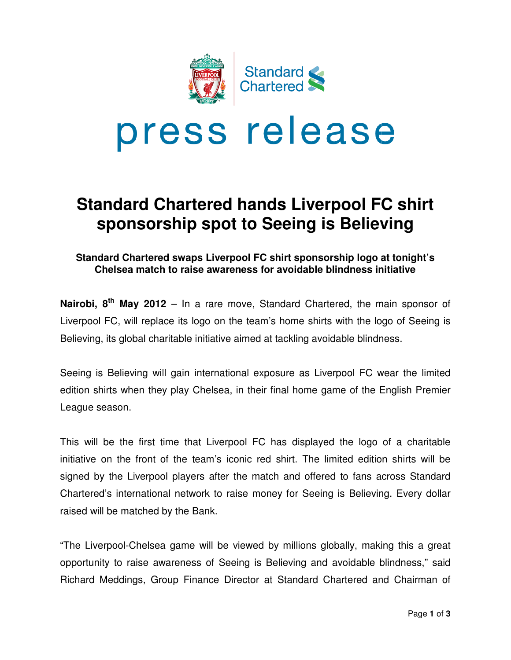

# **Standard Chartered hands Liverpool FC shirt sponsorship sponsorship spot to Seeing is Believing**

# **Standard Chartered swaps Chartered swaps Liverpool FC shirt sponsorship logo at tonight's tonight's Chelsea match to raise awareness for avoidable blindness initiative**

**Nairobi, 8<sup>th</sup> May 2012** – In a rare move, Standard Chartered, the main sponsor of Liverpool FC, will replace its logo on the team's home shirts with the logo of Seeing is Believing, its global charitable initiative aimed at tackling avoidable blindness.

Seeing is Believing will gain international exposure as Liverpool FC wear the limited edition shirts when they play Chelsea, in their final home game of the English Premier League season. edition shirts when they play Chelsea, in their final home game of the English Premier<br>League season.<br>This will be the first time that Liverpool FC has displayed the logo of a charitable

initiative on the front of the team's iconic red shirt. The limited edition shirts will be signed by the Liverpool players after the match and offered to fans across Standard signed by the Liverpool players after the match and offered to fans across Standard<br>Chartered's international network to raise money for Seeing is Believing. Every dollar raised will be matched by the Bank.

"The Liverpool-Chelsea game will be viewed by millions globally, making this a great opportunity to raise awareness of Seeing is Believing and avoidable blindness," said opportunity to raise awareness of Seeing is Believing and avoidable blindness," said<br>Richard Meddings, Group Finance Director at Standard Chartered and Chairman of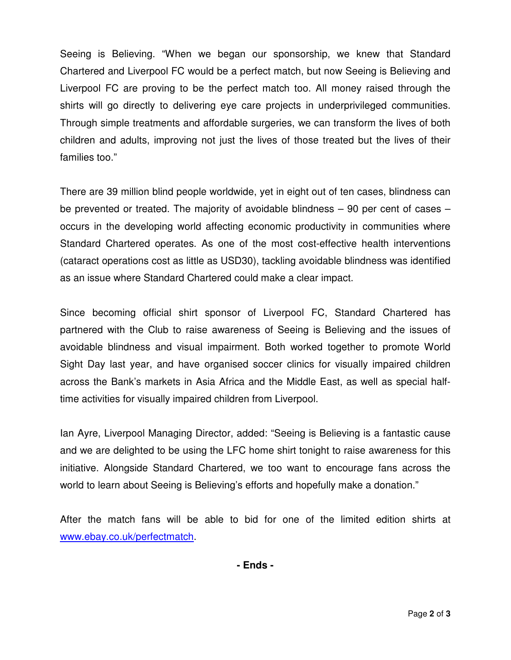Seeing is Believing. "When we began our sponsorship, we knew that Standard Chartered and Liverpool FC would be a perfect match, but now Seeing is Believing and Liverpool FC are proving to be the perfect match too. All money raised through the shirts will go directly to delivering eye care projects in underprivileged communities. Through simple treatments and affordable surgeries, we can transform the lives of both children and adults, improving not just the lives of those treated but the lives of their families too."

There are 39 million blind people worldwide, yet in eight out of ten cases, blindness can be prevented or treated. The majority of avoidable blindness – 90 per cent of cases – occurs in the developing world affecting economic productivity in communities where Standard Chartered operates. As one of the most cost-effective health interventions (cataract operations cost as little as USD30), tackling avoidable blindness was identified as an issue where Standard Chartered could make a clear impact.

Since becoming official shirt sponsor of Liverpool FC, Standard Chartered has partnered with the Club to raise awareness of Seeing is Believing and the issues of avoidable blindness and visual impairment. Both worked together to promote World Sight Day last year, and have organised soccer clinics for visually impaired children across the Bank's markets in Asia Africa and the Middle East, as well as special halftime activities for visually impaired children from Liverpool.

Ian Ayre, Liverpool Managing Director, added: "Seeing is Believing is a fantastic cause and we are delighted to be using the LFC home shirt tonight to raise awareness for this initiative. Alongside Standard Chartered, we too want to encourage fans across the world to learn about Seeing is Believing's efforts and hopefully make a donation."

After the match fans will be able to bid for one of the limited edition shirts at www.ebay.co.uk/perfectmatch.

**- Ends -**